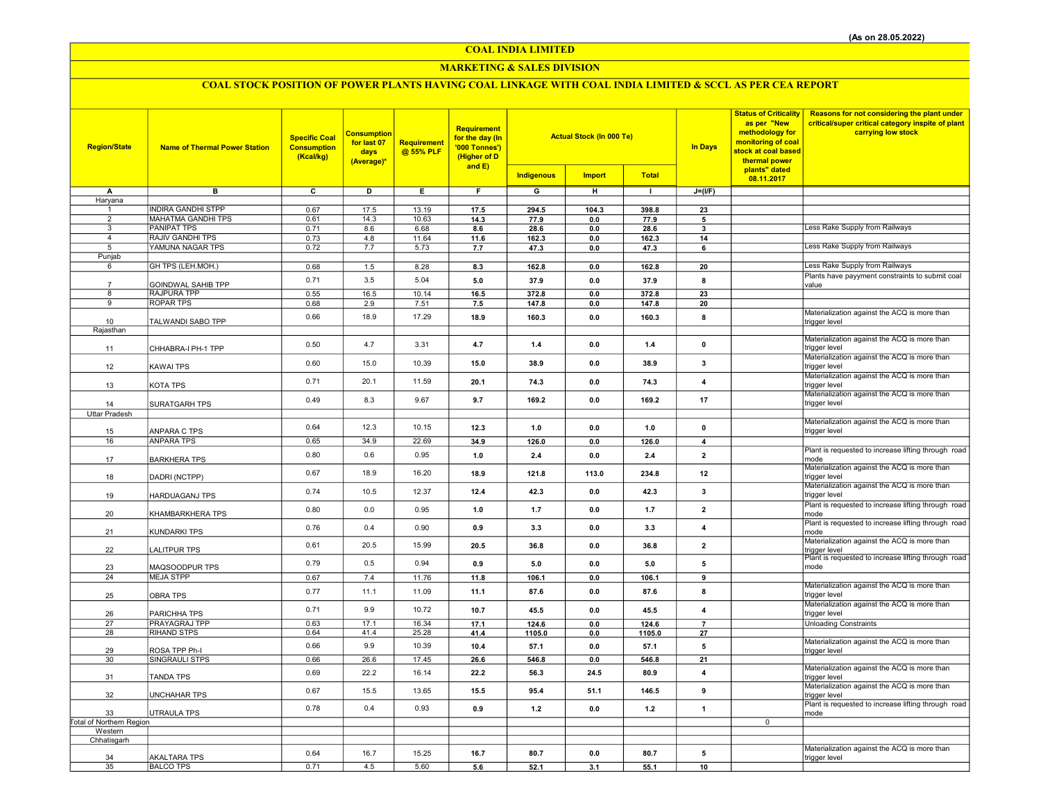## MARKETING & SALES DIVISION

| <b>Region/State</b>             | <b>Name of Thermal Power Station</b> | <b>Specific Coal</b><br><b>Consumption</b><br>(Kcal/kg) | <b>Consumption</b><br>for last 07<br>days<br>(Average)* | <b>Requirement</b><br>@ 55% PLF | Requirement<br>for the day (In<br>'000 Tonnes')<br>(Higher of D<br>and E) | <b>Actual Stock (In 000 Te)</b> |               |               | <b>In Days</b>          | <b>Status of Criticality</b><br>as per "New<br>methodology for<br>monitoring of coal<br>stock at coal based<br>thermal power | Reasons for not considering the plant under<br>critical/super critical category inspite of plant<br>carrying low stock |
|---------------------------------|--------------------------------------|---------------------------------------------------------|---------------------------------------------------------|---------------------------------|---------------------------------------------------------------------------|---------------------------------|---------------|---------------|-------------------------|------------------------------------------------------------------------------------------------------------------------------|------------------------------------------------------------------------------------------------------------------------|
|                                 |                                      |                                                         |                                                         |                                 |                                                                           | Indigenous                      | <b>Import</b> | <b>Total</b>  |                         | plants" dated<br>08.11.2017                                                                                                  |                                                                                                                        |
| A                               | в                                    | $\overline{c}$                                          | $\overline{D}$                                          | Ε                               | F                                                                         | G                               | н             | $\mathbf{I}$  | $J=(I/F)$               |                                                                                                                              |                                                                                                                        |
| Haryana                         |                                      |                                                         |                                                         |                                 |                                                                           |                                 |               |               |                         |                                                                                                                              |                                                                                                                        |
| -1                              | <b>INDIRA GANDHI STPP</b>            | 0.67                                                    | 17.5                                                    | 13.19                           | 17.5                                                                      | 294.5                           | 104.3         | 398.8         | 23                      |                                                                                                                              |                                                                                                                        |
| $\overline{2}$                  | <b>MAHATMA GANDHI TPS</b>            | 0.61                                                    | 14.3                                                    | 10.63                           | 14.3                                                                      | 77.9                            | 0.0           | 77.9          | 5                       |                                                                                                                              |                                                                                                                        |
| 3                               | <b>PANIPAT TPS</b>                   | 0.71                                                    | 8.6                                                     | 6.68                            | 8.6                                                                       | 28.6                            | $0.0\,$       | 28.6          | $\mathbf{3}$            |                                                                                                                              | Less Rake Supply from Railways                                                                                         |
| $\overline{4}$<br>5             | RAJIV GANDHI TPS<br>YAMUNA NAGAR TPS | 0.73<br>0.72                                            | 4.8<br>7.7                                              | 11.64                           | 11.6                                                                      | 162.3                           | $0.0\,$       | 162.3<br>47.3 | 14                      |                                                                                                                              | Less Rake Supply from Railways                                                                                         |
| Punjab                          |                                      |                                                         |                                                         | 5.73                            | 7.7                                                                       | 47.3                            | 0.0           |               | 6                       |                                                                                                                              |                                                                                                                        |
| 6                               | GH TPS (LEH.MOH.)                    | 0.68                                                    | 1.5                                                     | 8.28                            | 8.3                                                                       | 162.8                           | 0.0           | 162.8         | 20                      |                                                                                                                              | Less Rake Supply from Railways                                                                                         |
|                                 |                                      | 0.71                                                    | 3.5                                                     | 5.04                            |                                                                           | 37.9                            |               |               |                         |                                                                                                                              | Plants have payyment constraints to submit coal                                                                        |
| $\overline{7}$                  | <b>GOINDWAL SAHIB TPP</b>            |                                                         |                                                         |                                 | 5.0                                                                       |                                 | 0.0           | 37.9          | 8                       |                                                                                                                              | value                                                                                                                  |
| 8                               | <b>RAJPURA TPP</b>                   | 0.55                                                    | 16.5                                                    | 10.14                           | 16.5                                                                      | 372.8                           | 0.0           | 372.8         | $\overline{23}$         |                                                                                                                              |                                                                                                                        |
| 9                               | <b>ROPAR TPS</b>                     | 0.68                                                    | 2.9                                                     | 7.51                            | 7.5                                                                       | 147.8                           | 0.0           | 147.8         | 20                      |                                                                                                                              | Materialization against the ACQ is more than                                                                           |
| 10                              | TALWANDI SABO TPP                    | 0.66                                                    | 18.9                                                    | 17.29                           | 18.9                                                                      | 160.3                           | 0.0           | 160.3         | 8                       |                                                                                                                              | trigger level                                                                                                          |
| Rajasthan                       |                                      |                                                         |                                                         |                                 |                                                                           |                                 |               |               |                         |                                                                                                                              |                                                                                                                        |
|                                 |                                      | 0.50                                                    | 4.7                                                     | 3.31                            | 4.7                                                                       | $1.4$                           | $0.0\,$       | 1.4           | $\pmb{0}$               |                                                                                                                              | Materialization against the ACQ is more than                                                                           |
| 11                              | CHHABRA-I PH-1 TPP                   |                                                         |                                                         |                                 |                                                                           |                                 |               |               |                         |                                                                                                                              | trigger level                                                                                                          |
| 12                              | KAWAI TPS                            | 0.60                                                    | 15.0                                                    | 10.39                           | 15.0                                                                      | 38.9                            | 0.0           | 38.9          | 3                       |                                                                                                                              | Materialization against the ACQ is more than<br>trigger level                                                          |
|                                 |                                      |                                                         |                                                         |                                 |                                                                           |                                 |               |               |                         |                                                                                                                              | Materialization against the ACQ is more than                                                                           |
| 13                              | KOTA TPS                             | 0.71                                                    | 20.1                                                    | 11.59                           | 20.1                                                                      | 74.3                            | 0.0           | 74.3          | 4                       |                                                                                                                              | trigger level                                                                                                          |
|                                 |                                      | 0.49                                                    | 8.3                                                     | 9.67                            | 9.7                                                                       |                                 |               |               | 17                      |                                                                                                                              | Materialization against the ACQ is more than                                                                           |
| 14                              | <b>SURATGARH TPS</b>                 |                                                         |                                                         |                                 |                                                                           | 169.2                           | 0.0           | 169.2         |                         |                                                                                                                              | trigger level                                                                                                          |
| Uttar Pradesh                   |                                      |                                                         |                                                         |                                 |                                                                           |                                 |               |               |                         |                                                                                                                              | Materialization against the ACQ is more than                                                                           |
| 15                              | ANPARA C TPS                         | 0.64                                                    | 12.3                                                    | 10.15                           | 12.3                                                                      | 1.0                             | 0.0           | 1.0           | $\pmb{0}$               |                                                                                                                              | trigger level                                                                                                          |
| 16                              | <b>ANPARA TPS</b>                    | 0.65                                                    | 34.9                                                    | 22.69                           | 34.9                                                                      | 126.0                           | 0.0           | 126.0         | $\overline{\mathbf{4}}$ |                                                                                                                              |                                                                                                                        |
|                                 |                                      |                                                         |                                                         |                                 |                                                                           |                                 |               | 2.4           |                         |                                                                                                                              | Plant is requested to increase lifting through road                                                                    |
| 17                              | <b>BARKHERA TPS</b>                  | 0.80                                                    | 0.6                                                     | 0.95                            | 1.0                                                                       | 2.4                             | 0.0           |               | $\overline{2}$          |                                                                                                                              | mode                                                                                                                   |
| 18                              | DADRI (NCTPP)                        | 0.67                                                    | 18.9                                                    | 16.20                           | 18.9                                                                      | 121.8                           | 113.0         | 234.8         | 12                      |                                                                                                                              | Materialization against the ACQ is more than<br>trigger level                                                          |
|                                 |                                      |                                                         |                                                         |                                 |                                                                           |                                 |               |               |                         |                                                                                                                              | Materialization against the ACQ is more than                                                                           |
| 19                              | <b>HARDUAGANJ TPS</b>                | 0.74                                                    | 10.5                                                    | 12.37                           | 12.4                                                                      | 42.3                            | 0.0           | 42.3          | 3                       |                                                                                                                              | trigger level                                                                                                          |
|                                 |                                      | 0.80                                                    | 0.0                                                     | 0.95                            | 1.0                                                                       | 1.7                             | 0.0           | 1.7           | $\overline{2}$          |                                                                                                                              | Plant is requested to increase lifting through road                                                                    |
| 20                              | KHAMBARKHERA TPS                     |                                                         |                                                         |                                 |                                                                           |                                 |               |               |                         |                                                                                                                              | mode                                                                                                                   |
| 21                              | KUNDARKI TPS                         | 0.76                                                    | 0.4                                                     | 0.90                            | 0.9                                                                       | 3.3                             | 0.0           | 3.3           | 4                       |                                                                                                                              | Plant is requested to increase lifting through road<br>mode                                                            |
|                                 |                                      |                                                         |                                                         |                                 |                                                                           |                                 |               |               |                         |                                                                                                                              | Materialization against the ACQ is more than                                                                           |
| 22                              | <b>ALITPUR TPS</b>                   | 0.61                                                    | 20.5                                                    | 15.99                           | 20.5                                                                      | 36.8                            | 0.0           | 36.8          | $\mathbf{2}$            |                                                                                                                              | trigger level                                                                                                          |
|                                 |                                      | 0.79                                                    | 0.5                                                     | 0.94                            | 0.9                                                                       | 5.0                             | 0.0           | 5.0           | 5                       |                                                                                                                              | Plant is requested to increase lifting through road                                                                    |
| 23<br>24                        | MAQSOODPUR TPS<br><b>MEJA STPP</b>   | 0.67                                                    | 7.4                                                     | 11.76                           |                                                                           |                                 |               |               | 9                       |                                                                                                                              | mode                                                                                                                   |
|                                 |                                      |                                                         |                                                         |                                 | 11.8                                                                      | 106.1                           | 0.0           | 106.1         |                         |                                                                                                                              | Materialization against the ACQ is more than                                                                           |
| 25                              | <b>OBRA TPS</b>                      | 0.77                                                    | 11.1                                                    | 11.09                           | 11.1                                                                      | 87.6                            | 0.0           | 87.6          | 8                       |                                                                                                                              | trigger level                                                                                                          |
|                                 |                                      | 0.71                                                    | 9.9                                                     | 10.72                           | 10.7                                                                      | 45.5                            | 0.0           | 45.5          | $\overline{\mathbf{4}}$ |                                                                                                                              | Materialization against the ACQ is more than                                                                           |
| 26                              | PARICHHA TPS                         |                                                         |                                                         |                                 |                                                                           |                                 |               |               |                         |                                                                                                                              | trigger level                                                                                                          |
| 27<br>28                        | PRAYAGRAJ TPP<br><b>RIHAND STPS</b>  | 0.63<br>0.64                                            | 17.1<br>41.4                                            | 16.34<br>25.28                  | 17.1                                                                      | 124.6                           | 0.0           | 124.6         | $\overline{7}$<br>27    |                                                                                                                              | <b>Unloading Constraints</b>                                                                                           |
|                                 |                                      |                                                         |                                                         |                                 | 41.4                                                                      | 1105.0                          | $0.0\,$       | 1105.0        |                         |                                                                                                                              | Materialization against the ACQ is more than                                                                           |
| 29                              | ROSA TPP Ph-I                        | 0.66                                                    | 9.9                                                     | 10.39                           | 10.4                                                                      | 57.1                            | 0.0           | 57.1          | 5                       |                                                                                                                              | trigger level                                                                                                          |
| 30                              | SINGRAULI STPS                       | 0.66                                                    | 26.6                                                    | 17.45                           | 26.6                                                                      | 546.8                           | 0.0           | 546.8         | $\overline{21}$         |                                                                                                                              |                                                                                                                        |
|                                 |                                      | 0.69                                                    | 22.2                                                    | 16.14                           | 22.2                                                                      | 56.3                            | 24.5          | 80.9          | $\overline{\mathbf{4}}$ |                                                                                                                              | Materialization against the ACQ is more than                                                                           |
| 31                              | <b>TANDA TPS</b>                     |                                                         |                                                         |                                 |                                                                           |                                 |               |               |                         |                                                                                                                              | trigger level<br>Materialization against the ACQ is more than                                                          |
| 32                              | UNCHAHAR TPS                         | 0.67                                                    | 15.5                                                    | 13.65                           | 15.5                                                                      | 95.4                            | 51.1          | 146.5         | 9                       |                                                                                                                              | trigger level                                                                                                          |
|                                 |                                      | 0.78                                                    | 0.4                                                     | 0.93                            |                                                                           |                                 |               |               |                         |                                                                                                                              | Plant is requested to increase lifting through road                                                                    |
| 33                              | UTRAULA TPS                          |                                                         |                                                         |                                 | 0.9                                                                       | $1.2$                           | $0.0\,$       | $1.2$         | $\mathbf{1}$            |                                                                                                                              | mode                                                                                                                   |
| <b>Total of Northern Region</b> |                                      |                                                         |                                                         |                                 |                                                                           |                                 |               |               |                         | $\overline{0}$                                                                                                               |                                                                                                                        |
| Western<br>Chhatisgarh          |                                      |                                                         |                                                         |                                 |                                                                           |                                 |               |               |                         |                                                                                                                              |                                                                                                                        |
|                                 |                                      |                                                         |                                                         |                                 |                                                                           |                                 |               |               |                         |                                                                                                                              | Materialization against the ACQ is more than                                                                           |
| 34                              | <b>AKALTARA TPS</b>                  | 0.64                                                    | 16.7                                                    | 15.25                           | 16.7                                                                      | 80.7                            | 0.0           | 80.7          | 5                       |                                                                                                                              | trigger level                                                                                                          |
| 35                              | <b>BALCO TPS</b>                     | 0.71                                                    | 4.5                                                     | 5.60                            | 5.6                                                                       | 52.1                            | 3.1           | 55.1          | 10                      |                                                                                                                              |                                                                                                                        |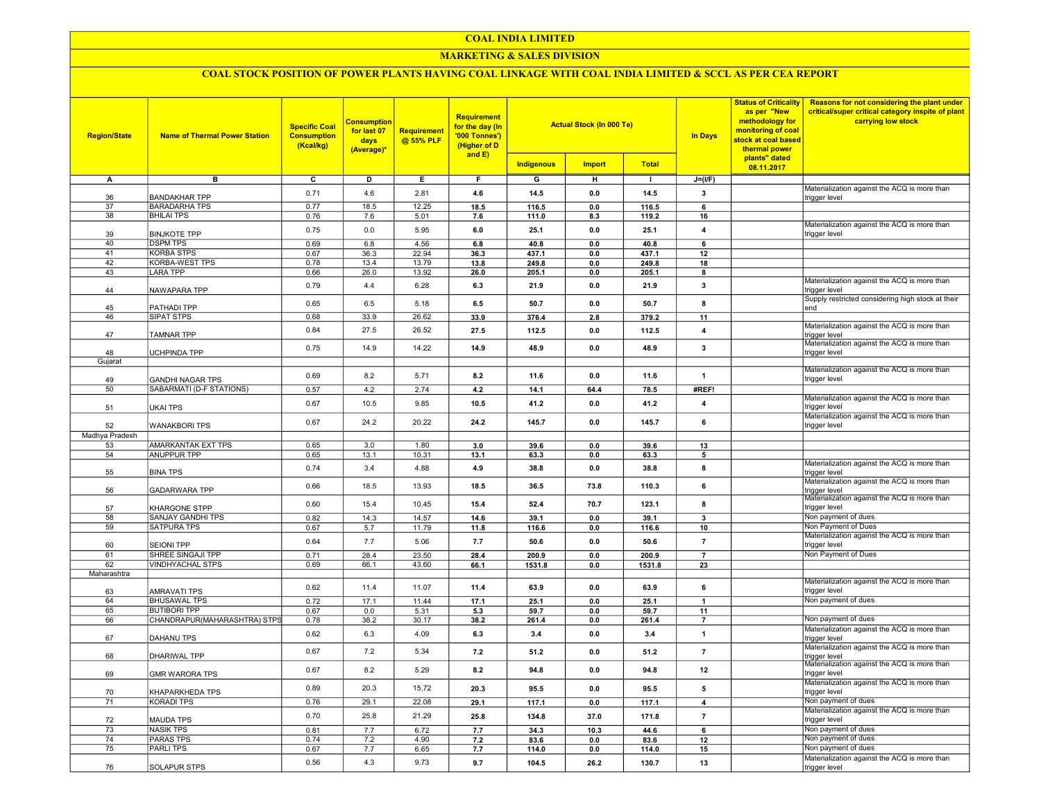### MARKETING & SALES DIVISION

| <b>Region/State</b> | <b>Name of Thermal Power Station</b>                | <b>Specific Coal</b><br><b>Consumption</b><br>(Kcal/kg) | Consumption<br>for last 07<br>days<br>(Average)* | <b>Requirement</b><br>@ 55% PLF | <b>Requirement</b><br>for the day (In<br>'000 Tonnes')<br>(Higher of D<br>and $E$ ) |                 | <b>Actual Stock (In 000 Te)</b> |                 | In Days                 | <b>Status of Criticality</b><br>as per "New<br>methodology for<br>monitoring of coal<br>stock at coal based<br>thermal power | Reasons for not considering the plant under<br>critical/super critical category inspite of plant<br>carrying low stock |
|---------------------|-----------------------------------------------------|---------------------------------------------------------|--------------------------------------------------|---------------------------------|-------------------------------------------------------------------------------------|-----------------|---------------------------------|-----------------|-------------------------|------------------------------------------------------------------------------------------------------------------------------|------------------------------------------------------------------------------------------------------------------------|
|                     |                                                     |                                                         |                                                  |                                 |                                                                                     | Indigenous      | <b>Import</b>                   | <b>Total</b>    |                         | plants" dated<br>08.11.2017                                                                                                  |                                                                                                                        |
| А                   | в                                                   | c                                                       | D                                                | Е                               | F                                                                                   | G               | н                               | $\mathbf{L}$    | $J=(I/F)$               |                                                                                                                              |                                                                                                                        |
|                     |                                                     |                                                         |                                                  |                                 |                                                                                     |                 |                                 |                 |                         |                                                                                                                              | Materialization against the ACQ is more than                                                                           |
| 36                  | <b>BANDAKHAR TPP</b>                                | 0.71                                                    | 4.6                                              | 2.81                            | 4.6                                                                                 | 14.5            | 0.0                             | 14.5            | 3                       |                                                                                                                              | trigger level                                                                                                          |
| 37                  | <b>BARADARHA TPS</b>                                | 0.77                                                    | 18.5                                             | 12.25                           | 18.5                                                                                | 116.5           | 0.0                             | 116.5           | 6                       |                                                                                                                              |                                                                                                                        |
| 38                  | <b>BHILAI TPS</b>                                   | 0.76                                                    | 7.6                                              | 5.01                            | 7.6                                                                                 | 111.0           | 8.3                             | 119.2           | 16                      |                                                                                                                              | Materialization against the ACQ is more than                                                                           |
| 39                  | <b>BINJKOTE TPP</b>                                 | 0.75                                                    | 0.0                                              | 5.95                            | 6.0                                                                                 | 25.1            | 0.0                             | 25.1            | $\overline{\mathbf{4}}$ |                                                                                                                              | trigger level                                                                                                          |
| 40                  | <b>DSPM TPS</b>                                     | 0.69                                                    | 6.8                                              | 4.56                            | 6.8                                                                                 | 40.8            | 0.0                             | 40.8            | 6                       |                                                                                                                              |                                                                                                                        |
| 41                  | <b>KORBA STPS</b>                                   | 0.67                                                    | 36.3                                             | 22.94                           | 36.3                                                                                | 437.1           | $0.0\,$                         | 437.1           | 12                      |                                                                                                                              |                                                                                                                        |
| 42                  | <b>KORBA-WEST TPS</b><br><b>LARA TPP</b>            | 0.78                                                    | 13.4                                             | 13.79                           | 13.8                                                                                | 249.8           | 0.0                             | 249.8           | 18                      |                                                                                                                              |                                                                                                                        |
| 43                  |                                                     | 0.66                                                    | 26.0                                             | 13.92                           | 26.0                                                                                | 205.1           | 0.0                             | 205.1           | 8                       |                                                                                                                              | Materialization against the ACQ is more than                                                                           |
| 44                  | NAWAPARA TPP                                        | 0.79                                                    | 4.4                                              | 6.28                            | 6.3                                                                                 | 21.9            | 0.0                             | 21.9            | $\mathbf{3}$            |                                                                                                                              | trigger level                                                                                                          |
|                     |                                                     | 0.65                                                    | 6.5                                              | 5.18                            | 6.5                                                                                 | 50.7            | 0.0                             | 50.7            | 8                       |                                                                                                                              | Supply restricted considering high stock at their                                                                      |
| 45<br>46            | PATHADI TPP<br>SIPAT STPS                           | 0.68                                                    | 33.9                                             | 26.62                           | 33.9                                                                                | 376.4           | $2.8$                           | 379.2           | 11                      |                                                                                                                              | end                                                                                                                    |
|                     |                                                     |                                                         |                                                  |                                 |                                                                                     |                 |                                 |                 |                         |                                                                                                                              | Materialization against the ACQ is more than                                                                           |
| 47                  | <b>TAMNAR TPP</b>                                   | 0.84                                                    | 27.5                                             | 26.52                           | 27.5                                                                                | 112.5           | 0.0                             | 112.5           | $\overline{4}$          |                                                                                                                              | trigger level                                                                                                          |
| 48                  | <b>JCHPINDA TPP</b>                                 | 0.75                                                    | 14.9                                             | 14.22                           | 14.9                                                                                | 48.9            | 0.0                             | 48.9            | $\mathbf{3}$            |                                                                                                                              | Materialization against the ACQ is more than                                                                           |
| Gujarat             |                                                     |                                                         |                                                  |                                 |                                                                                     |                 |                                 |                 |                         |                                                                                                                              | trigger level                                                                                                          |
|                     |                                                     |                                                         |                                                  |                                 |                                                                                     |                 |                                 |                 |                         |                                                                                                                              | Materialization against the ACQ is more than                                                                           |
| 49                  | <b>GANDHI NAGAR TPS</b>                             | 0.69                                                    | 8.2                                              | 5.71                            | 8.2                                                                                 | 11.6            | 0.0                             | 11.6            | $\mathbf{1}$            |                                                                                                                              | trigger level                                                                                                          |
| 50                  | SABARMATI (D-F STATIONS)                            | 0.57                                                    | 4.2                                              | 2.74                            | $4.2\,$                                                                             | 14.1            | 64.4                            | 78.5            | #REF!                   |                                                                                                                              |                                                                                                                        |
|                     |                                                     | 0.67                                                    | 10.5                                             | 9.85                            | 10.5                                                                                | 41.2            | 0.0                             | 41.2            | $\overline{4}$          |                                                                                                                              | Materialization against the ACQ is more than<br>trigger level                                                          |
| 51                  | UKAI TPS                                            |                                                         |                                                  |                                 |                                                                                     |                 |                                 |                 |                         |                                                                                                                              | Materialization against the ACQ is more than                                                                           |
| 52                  | <b>WANAKBORI TPS</b>                                | 0.67                                                    | 24.2                                             | 20.22                           | 24.2                                                                                | 145.7           | 0.0                             | 145.7           | 6                       |                                                                                                                              | trigger level                                                                                                          |
| Madhya Pradesh      |                                                     |                                                         |                                                  |                                 |                                                                                     |                 |                                 |                 |                         |                                                                                                                              |                                                                                                                        |
| 53                  | AMARKANTAK EXT TPS                                  | 0.65                                                    | 3.0                                              | 1.80                            | 3.0                                                                                 | 39.6            | 0.0                             | 39.6            | 13                      |                                                                                                                              |                                                                                                                        |
| 54                  | <b>ANUPPUR TPP</b>                                  | 0.65                                                    | 13.1                                             | 10.31                           | 13.1                                                                                | 63.3            | $0.0\,$                         | 63.3            | $5\phantom{1}$          |                                                                                                                              |                                                                                                                        |
| 55                  | <b>BINA TPS</b>                                     | 0.74                                                    | 3.4                                              | 4.88                            | 4.9                                                                                 | 38.8            | 0.0                             | 38.8            | 8                       |                                                                                                                              | Materialization against the ACQ is more than<br>trigger level                                                          |
|                     |                                                     | 0.66                                                    | 18.5                                             | 13.93                           | 18.5                                                                                | 36.5            | 73.8                            | 110.3           | 6                       |                                                                                                                              | Materialization against the ACQ is more than                                                                           |
| 56                  | <b>GADARWARA TPP</b>                                |                                                         |                                                  |                                 |                                                                                     |                 |                                 |                 |                         |                                                                                                                              | <sub>I</sub> trigger level<br> Materialization against the ACQ is more than                                            |
| 57                  | KHARGONE STPP                                       | 0.60                                                    | 15.4                                             | 10.45                           | 15.4                                                                                | 52.4            | 70.7                            | 123.1           | 8                       |                                                                                                                              | trigger level                                                                                                          |
| 58                  | SANJAY GANDHI TPS                                   | 0.82                                                    | 14.3                                             | 14.57                           | 14.6                                                                                | 39.1            | 0.0                             | 39.1            | $\mathbf{3}$            |                                                                                                                              | Non payment of dues                                                                                                    |
| 59                  | <b>SATPURA TPS</b>                                  | 0.67                                                    | 5.7                                              | 11.79                           | 11.8                                                                                | 116.6           | 0.0                             | 116.6           | 10                      |                                                                                                                              | Non Payment of Dues                                                                                                    |
|                     |                                                     | 0.64                                                    | 7.7                                              | 5.06                            | 7.7                                                                                 | 50.6            | 0.0                             | 50.6            | $\overline{7}$          |                                                                                                                              | Materialization against the ACQ is more than                                                                           |
| 60                  | <b>SEIONI TPP</b>                                   |                                                         |                                                  |                                 |                                                                                     |                 |                                 |                 |                         |                                                                                                                              | trigger level<br>Non Payment of Dues                                                                                   |
| 61<br>62            | SHREE SINGAJI TPP<br><b>VINDHYACHAL STPS</b>        | 0.71<br>0.69                                            | 28.4<br>66.1                                     | 23.50<br>43.60                  | 28.4<br>66.1                                                                        | 200.9<br>1531.8 | 0.0<br>0.0                      | 200.9<br>1531.8 | $\overline{7}$<br>23    |                                                                                                                              |                                                                                                                        |
| Maharashtra         |                                                     |                                                         |                                                  |                                 |                                                                                     |                 |                                 |                 |                         |                                                                                                                              |                                                                                                                        |
|                     |                                                     | 0.62                                                    | 11.4                                             | 11.07                           | 11.4                                                                                | 63.9            | 0.0                             | 63.9            | 6                       |                                                                                                                              | Materialization against the ACQ is more than                                                                           |
| 63                  | AMRAVATI TPS                                        |                                                         |                                                  |                                 |                                                                                     |                 |                                 |                 |                         |                                                                                                                              | trigger level                                                                                                          |
| 64                  | <b>BHUSAWAL TPS</b>                                 | 0.72                                                    | 17.1                                             | 11.44                           | 17.1                                                                                | 25.1            | 0.0                             | 25.1            | $\overline{1}$          |                                                                                                                              | Non payment of dues                                                                                                    |
| 65<br>66            | <b>BUTIBORI TPP</b><br>CHANDRAPUR(MAHARASHTRA) STPS | 0.67<br>0.78                                            | 0.0<br>38.2                                      | 5.31<br>30.17                   | 5.3<br>38.2                                                                         | 59.7<br>261.4   | 0.0<br>$0.0\,$                  | 59.7<br>261.4   | 11<br>$\overline{7}$    |                                                                                                                              | Non payment of dues                                                                                                    |
|                     |                                                     |                                                         |                                                  |                                 |                                                                                     |                 |                                 |                 |                         |                                                                                                                              | Materialization against the ACQ is more than                                                                           |
| 67                  | DAHANU TPS                                          | 0.62                                                    | 6.3                                              | 4.09                            | 6.3                                                                                 | 3.4             | 0.0                             | 3.4             | $\overline{1}$          |                                                                                                                              | trigger level                                                                                                          |
|                     |                                                     | 0.67                                                    | 7.2                                              | 5.34                            | 7.2                                                                                 | 51.2            | 0.0                             | 51.2            | $\overline{7}$          |                                                                                                                              | Materialization against the ACQ is more than                                                                           |
| 68                  | DHARIWAL TPP                                        |                                                         |                                                  |                                 |                                                                                     |                 |                                 |                 |                         |                                                                                                                              | trigger level<br>Materialization against the ACQ is more than                                                          |
| 69                  | <b>GMR WARORA TPS</b>                               | 0.67                                                    | 8.2                                              | 5.29                            | 8.2                                                                                 | 94.8            | 0.0                             | 94.8            | 12                      |                                                                                                                              | trigger level                                                                                                          |
|                     |                                                     | 0.89                                                    | 20.3                                             | 15.72                           | 20.3                                                                                | 95.5            | 0.0                             | 95.5            | 5                       |                                                                                                                              | Materialization against the ACQ is more than                                                                           |
| 70                  | KHAPARKHEDA TPS                                     |                                                         |                                                  |                                 |                                                                                     |                 |                                 |                 |                         |                                                                                                                              | trigger level                                                                                                          |
| 71                  | <b>KORADI TPS</b>                                   | 0.76                                                    | 29.1                                             | 22.08                           | 29.1                                                                                | 117.1           | $0.0\,$                         | 117.1           | $\boldsymbol{4}$        |                                                                                                                              | Non payment of dues<br>Materialization against the ACQ is more than                                                    |
| 72                  | <b>MAUDA TPS</b>                                    | 0.70                                                    | 25.8                                             | 21.29                           | 25.8                                                                                | 134.8           | 37.0                            | 171.8           | $\overline{7}$          |                                                                                                                              | trigger level                                                                                                          |
| 73                  | <b>NASIK TPS</b>                                    | 0.81                                                    | 7.7                                              | 6.72                            | 7.7                                                                                 | 34.3            | 10.3                            | 44.6            | 6                       |                                                                                                                              | Non payment of dues                                                                                                    |
| 74                  | <b>PARAS TPS</b>                                    | 0.74                                                    | 7.2                                              | 4.90                            | 7.2                                                                                 | 83.6            | 0.0                             | 83.6            | 12                      |                                                                                                                              | Non payment of dues                                                                                                    |
| 75                  | PARLI TPS                                           | 0.67                                                    | 7.7                                              | 6.65                            | 7.7                                                                                 | 114.0           | 0.0                             | 114.0           | 15                      |                                                                                                                              | Non payment of dues                                                                                                    |
|                     |                                                     | 0.56                                                    | 4.3                                              | 9.73                            | 9.7                                                                                 | 104.5           | 26.2                            | 130.7           | 13                      |                                                                                                                              | Materialization against the ACQ is more than                                                                           |
| 76                  | <b>SOLAPUR STPS</b>                                 |                                                         |                                                  |                                 |                                                                                     |                 |                                 |                 |                         |                                                                                                                              | trigger level                                                                                                          |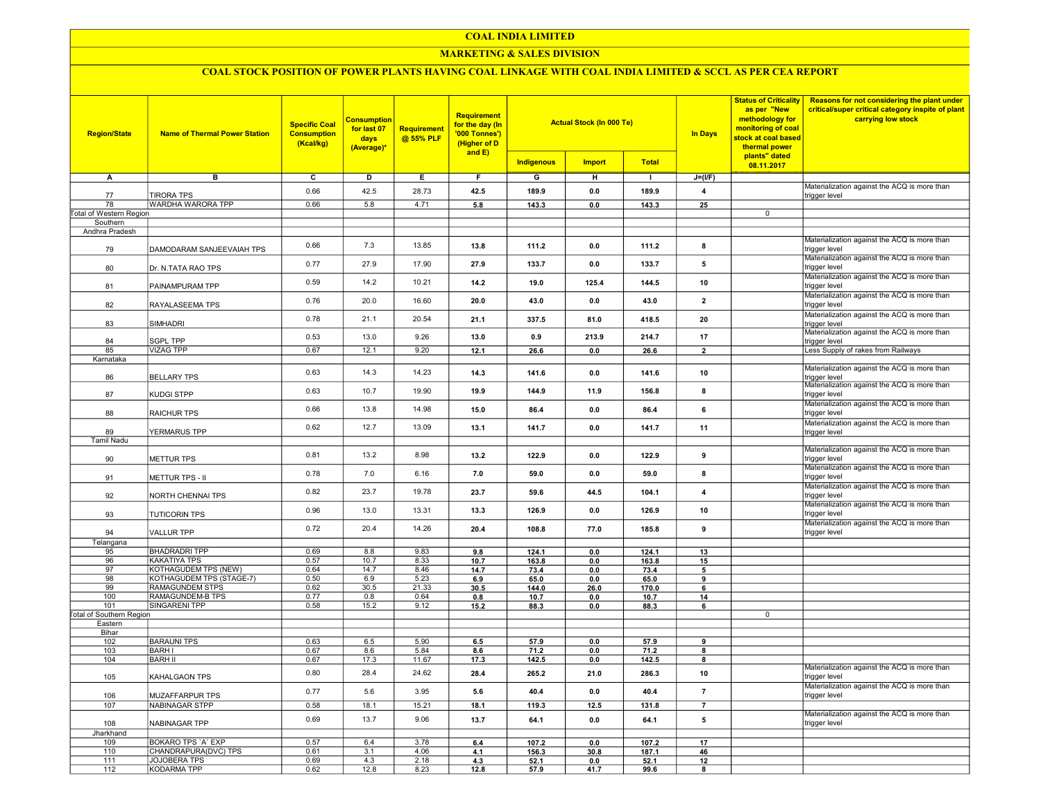# MARKETING & SALES DIVISION

| <b>Region/State</b>                 | <b>Name of Thermal Power Station</b>            | <b>Specific Coal</b><br><b>Consumption</b><br>(Kcal/kg) | <b>Consumption</b><br>for last 07<br>days<br>(Average)* | Requirement<br>@ 55% PLF | <b>Requirement</b><br>for the day (In<br>'000 Tonnes')<br>(Higher of D<br>and E) | <b>Actual Stock (In 000 Te)</b> |               |               | <b>In Days</b>          | <b>Status of Criticality</b><br>as per "New<br>methodology for<br>monitoring of coal<br>stock at coal based<br>thermal power<br>plants" dated | Reasons for not considering the plant under<br>critical/super critical category inspite of plant<br>carrying low stock |
|-------------------------------------|-------------------------------------------------|---------------------------------------------------------|---------------------------------------------------------|--------------------------|----------------------------------------------------------------------------------|---------------------------------|---------------|---------------|-------------------------|-----------------------------------------------------------------------------------------------------------------------------------------------|------------------------------------------------------------------------------------------------------------------------|
|                                     |                                                 |                                                         |                                                         |                          |                                                                                  | <b>Indigenous</b>               | <b>Import</b> | <b>Total</b>  |                         | 08.11.2017                                                                                                                                    |                                                                                                                        |
| A                                   | в                                               | c                                                       | D                                                       | Ε.                       | F.                                                                               | G                               | н             | $\mathbf{I}$  | $J=(I/F)$               |                                                                                                                                               |                                                                                                                        |
| 77                                  | <b>TIRORA TPS</b>                               | 0.66                                                    | 42.5                                                    | 28.73                    | 42.5                                                                             | 189.9                           | 0.0           | 189.9         | $\overline{\mathbf{4}}$ |                                                                                                                                               | Materialization against the ACQ is more than<br>trigger level                                                          |
| 78                                  | <b>WARDHA WARORA TPP</b>                        | 0.66                                                    | 5.8                                                     | 4.71                     | 5.8                                                                              | 143.3                           | 0.0           | 143.3         | $\overline{25}$         |                                                                                                                                               |                                                                                                                        |
| Total of Western Region<br>Southern |                                                 |                                                         |                                                         |                          |                                                                                  |                                 |               |               |                         | $\mathsf 0$                                                                                                                                   |                                                                                                                        |
| Andhra Pradesh                      |                                                 |                                                         |                                                         |                          |                                                                                  |                                 |               |               |                         |                                                                                                                                               |                                                                                                                        |
| 79                                  | DAMODARAM SANJEEVAIAH TPS                       | 0.66                                                    | 7.3                                                     | 13.85                    | 13.8                                                                             | 111.2                           | 0.0           | 111.2         | 8                       |                                                                                                                                               | Materialization against the ACQ is more than<br>trigger level                                                          |
| 80                                  | Dr. N.TATA RAO TPS                              | 0.77                                                    | 27.9                                                    | 17.90                    | 27.9                                                                             | 133.7                           | 0.0           | 133.7         | 5                       |                                                                                                                                               | Materialization against the ACQ is more than<br>trigger level                                                          |
| 81                                  | PAINAMPURAM TPP                                 | 0.59                                                    | 14.2                                                    | 10.21                    | 14.2                                                                             | 19.0                            | 125.4         | 144.5         | 10                      |                                                                                                                                               | Materialization against the ACQ is more than<br>trigger level                                                          |
| 82                                  | RAYALASEEMA TPS                                 | 0.76                                                    | 20.0                                                    | 16.60                    | 20.0                                                                             | 43.0                            | 0.0           | 43.0          | $\overline{\mathbf{2}}$ |                                                                                                                                               | Materialization against the ACQ is more than<br>trigger level                                                          |
| 83                                  | SIMHADRI                                        | 0.78                                                    | 21.1                                                    | 20.54                    | 21.1                                                                             | 337.5                           | 81.0          | 418.5         | 20                      |                                                                                                                                               | Materialization against the ACQ is more than<br>trigger level                                                          |
| 84                                  | <b>SGPL TPP</b>                                 | 0.53                                                    | 13.0                                                    | 9.26                     | 13.0                                                                             | 0.9                             | 213.9         | 214.7         | 17                      |                                                                                                                                               | Materialization against the ACQ is more than<br>trigger level                                                          |
| 85                                  | <b>VIZAG TPP</b>                                | 0.67                                                    | 12.1                                                    | 9.20                     | 12.1                                                                             | 26.6                            | 0.0           | 26.6          | $\overline{\mathbf{2}}$ |                                                                                                                                               | Less Supply of rakes from Railways                                                                                     |
| Karnataka                           |                                                 |                                                         |                                                         |                          |                                                                                  |                                 |               |               |                         |                                                                                                                                               | Materialization against the ACQ is more than                                                                           |
| 86                                  | <b>BELLARY TPS</b>                              | 0.63                                                    | 14.3                                                    | 14.23                    | 14.3                                                                             | 141.6                           | 0.0           | 141.6         | 10                      |                                                                                                                                               | rigger level<br>Materialization against the ACQ is more than                                                           |
| 87                                  | KUDGI STPP                                      | 0.63                                                    | 10.7                                                    | 19.90                    | 19.9                                                                             | 144.9                           | 11.9          | 156.8         | 8                       |                                                                                                                                               | trigger level<br>Materialization against the ACQ is more than                                                          |
| 88                                  | <b>RAICHUR TPS</b>                              | 0.66                                                    | 13.8                                                    | 14.98                    | 15.0                                                                             | 86.4                            | 0.0           | 86.4          | 6                       |                                                                                                                                               | trigger level<br>Materialization against the ACQ is more than                                                          |
| 89<br><b>Tamil Nadu</b>             | YERMARUS TPP                                    | 0.62                                                    | 12.7                                                    | 13.09                    | 13.1                                                                             | 141.7                           | 0.0           | 141.7         | 11                      |                                                                                                                                               | trigger level                                                                                                          |
| 90                                  | <b>METTUR TPS</b>                               | 0.81                                                    | 13.2                                                    | 8.98                     | 13.2                                                                             | 122.9                           | 0.0           | 122.9         | 9                       |                                                                                                                                               | Materialization against the ACQ is more than<br>trigger level                                                          |
| 91                                  | METTUR TPS - II                                 | 0.78                                                    | 7.0                                                     | 6.16                     | 7.0                                                                              | 59.0                            | 0.0           | 59.0          | 8                       |                                                                                                                                               | Materialization against the ACQ is more than<br>trigger level                                                          |
| 92                                  | NORTH CHENNAI TPS                               | 0.82                                                    | 23.7                                                    | 19.78                    | 23.7                                                                             | 59.6                            | 44.5          | 104.1         | $\overline{4}$          |                                                                                                                                               | Materialization against the ACQ is more than<br>trigger level                                                          |
| 93                                  | <b>TUTICORIN TPS</b>                            | 0.96                                                    | 13.0                                                    | 13.31                    | 13.3                                                                             | 126.9                           | 0.0           | 126.9         | 10                      |                                                                                                                                               | Materialization against the ACQ is more than<br>trigger level                                                          |
| 94                                  | <b>VALLUR TPP</b>                               | 0.72                                                    | 20.4                                                    | 14.26                    | 20.4                                                                             | 108.8                           | 77.0          | 185.8         | 9                       |                                                                                                                                               | Materialization against the ACQ is more than<br>trigger level                                                          |
| Telangana                           | <b>BHADRADRI TPP</b>                            | 0.69                                                    | 8.8                                                     | 9.83                     |                                                                                  |                                 | 0.0           | 124.1         |                         |                                                                                                                                               |                                                                                                                        |
| 95<br>96                            | <b>KAKATIYA TPS</b>                             | 0.57                                                    | 10.7                                                    | 8.33                     | 9.8<br>10.7                                                                      | 124.1<br>163.8                  | 0.0           | 163.8         | 13<br>15                |                                                                                                                                               |                                                                                                                        |
| 97                                  | <b>KOTHAGUDEM TPS (NEW)</b>                     | 0.64                                                    | 14.7                                                    | 8.46                     | 14.7                                                                             | 73.4                            | 0.0           | 73.4          | 5                       |                                                                                                                                               |                                                                                                                        |
| 98                                  | KOTHAGUDEM TPS (STAGE-7)                        | 0.50                                                    | 6.9                                                     | 5.23                     | 6.9                                                                              | 65.0                            | 0.0           | 65.0          | 9                       |                                                                                                                                               |                                                                                                                        |
| 99                                  | <b>RAMAGUNDEM STPS</b>                          | 0.62                                                    | 30.5                                                    | 21.33                    | 30.5                                                                             | 144.0                           | 26.0          | 170.0         | 6                       |                                                                                                                                               |                                                                                                                        |
| 100<br>101                          | <b>RAMAGUNDEM-B TPS</b><br><b>SINGARENI TPP</b> | 0.77<br>0.58                                            | 0.8<br>15.2                                             | 0.64<br>9.12             | 0.8<br>15.2                                                                      | 10.7<br>88.3                    | 0.0<br>0.0    | 10.7<br>88.3  | 14<br>6                 |                                                                                                                                               |                                                                                                                        |
| <b>Total of Southern Region</b>     |                                                 |                                                         |                                                         |                          |                                                                                  |                                 |               |               |                         | $\overline{0}$                                                                                                                                |                                                                                                                        |
| Eastern                             |                                                 |                                                         |                                                         |                          |                                                                                  |                                 |               |               |                         |                                                                                                                                               |                                                                                                                        |
| Bihar                               |                                                 |                                                         |                                                         |                          |                                                                                  |                                 |               |               |                         |                                                                                                                                               |                                                                                                                        |
| 102<br>103                          | <b>BARAUNI TPS</b><br><b>BARHI</b>              | 0.63<br>0.67                                            | 6.5<br>8.6                                              | 5.90<br>5.84             | 6.5                                                                              | 57.9                            | 0.0           | 57.9          | 9                       |                                                                                                                                               |                                                                                                                        |
| 104                                 | <b>BARH II</b>                                  | 0.67                                                    | 17.3                                                    | 11.67                    | 8.6<br>17.3                                                                      | 71.2<br>142.5                   | 0.0<br>0.0    | 71.2<br>142.5 | 8<br>8                  |                                                                                                                                               |                                                                                                                        |
|                                     |                                                 |                                                         |                                                         |                          |                                                                                  |                                 |               |               |                         |                                                                                                                                               | Materialization against the ACQ is more than                                                                           |
| 105                                 | KAHALGAON TPS                                   | 0.80                                                    | 28.4                                                    | 24.62                    | 28.4                                                                             | 265.2                           | 21.0          | 286.3         | 10                      |                                                                                                                                               | trigger level<br>Materialization against the ACQ is more than                                                          |
| 106                                 | MUZAFFARPUR TPS                                 | 0.77                                                    | 5.6                                                     | 3.95                     | 5.6                                                                              | 40.4                            | 0.0           | 40.4          | $\overline{7}$          |                                                                                                                                               | trigger level                                                                                                          |
| 107                                 | <b>NABINAGAR STPP</b>                           | 0.58                                                    | 18.1                                                    | 15.21                    | 18.1                                                                             | 119.3                           | 12.5          | 131.8         |                         |                                                                                                                                               | Materialization against the ACQ is more than                                                                           |
| 108                                 | NABINAGAR TPP                                   | 0.69                                                    | 13.7                                                    | 9.06                     | 13.7                                                                             | 64.1                            | 0.0           | 64.1          | 5                       |                                                                                                                                               | trigger level                                                                                                          |
| Jharkhand                           | BOKARO TPS 'A' EXP                              | 0.57                                                    | 6.4                                                     | 3.78                     | 6.4                                                                              | 107.2                           | 0.0           | 107.2         | 17                      |                                                                                                                                               |                                                                                                                        |
| 109<br>110                          | CHANDRAPURA(DVC) TPS                            | 0.61                                                    | 3.1                                                     | 4.06                     | 4.1                                                                              | 156.3                           | 30.8          | 187.1         | 46                      |                                                                                                                                               |                                                                                                                        |
| 111                                 | JOJOBERA TPS                                    | 0.69                                                    | 4.3                                                     | 2.18                     | 4.3                                                                              | 52.1                            | 0.0           | 52.1          | 12                      |                                                                                                                                               |                                                                                                                        |
| 112                                 | KODARMA TPP                                     | 0.62                                                    | 12.8                                                    | 8.23                     | 12.8                                                                             | 57.9                            | 41.7          | 99.6          | 8                       |                                                                                                                                               |                                                                                                                        |